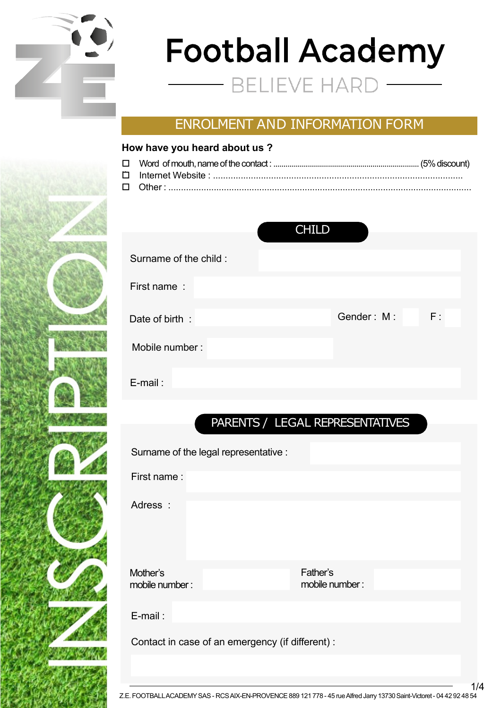

INSCRIPTION

# **Football Academy** ELIEVE HAI

# ENROLMENT AND INFORMATION FORM

### **How have you heard about us ?**

|                       | <b>CHILD</b>     |
|-----------------------|------------------|
| Surname of the child: |                  |
| First name:           |                  |
| Date of birth:        | F:<br>Gender: M: |
| Mobile number:        |                  |
| $E$ -mail:            |                  |

# PARENTS / LEGAL REPRESENTATIVES

Surname of the legal representative :

First name :

Adress :

Mother's mobile number: Father's mobile number:

E-mail :

Contact in case of an emergency (if different) :

1/4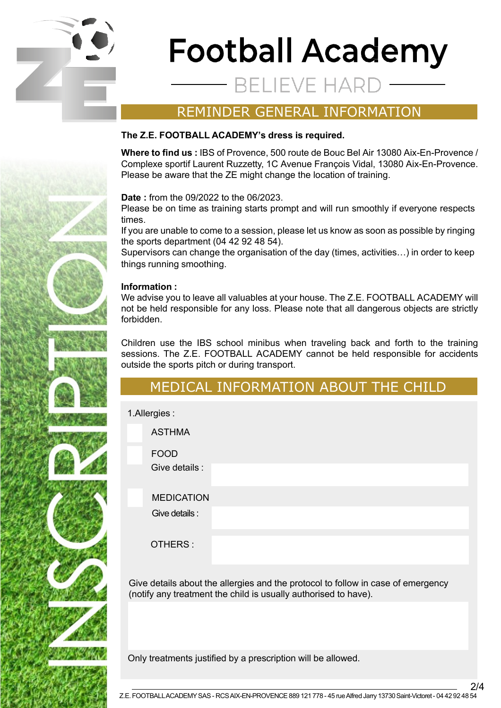

# **Football Academy** ELIEVE HA

### REMINDER GENERAL INFORMATION

### **The Z.E. FOOTBALL ACADEMY's dress is required.**

**Where to find us :** IBS of Provence, 500 route de Bouc Bel Air 13080 Aix-En-Provence / Complexe sportif Laurent Ruzzetty, 1C Avenue François Vidal, 13080 Aix-En-Provence. Please be aware that the ZE might change the location of training.

**Date :** from the 09/2022 to the 06/2023.

Please be on time as training starts prompt and will run smoothly if everyone respects times.

If you are unable to come to a session, please let us know as soon as possible by ringing the sports department (04 42 92 48 54).

Supervisors can change the organisation of the day (times, activities…) in order to keep things running smoothing.

### **Information :**

We advise you to leave all valuables at your house. The Z.E. FOOTBALL ACADEMY will not be held responsible for any loss. Please note that all dangerous objects are strictly forbidden.

Children use the IBS school minibus when traveling back and forth to the training sessions. The Z.E. FOOTBALL ACADEMY cannot be held responsible for accidents outside the sports pitch or during transport.

### MEDICAL INFORMATION ABOUT THE CHILD

1.Allergies :

INSCRIPTION

ASTHMA FOOD Give details :

MEDICATION

Give details :

OTHERS :

Give details about the allergies and the protocol to follow in case of emergency (notify any treatment the child is usually authorised to have).

Only treatments justified by a prescription will be allowed.

2/4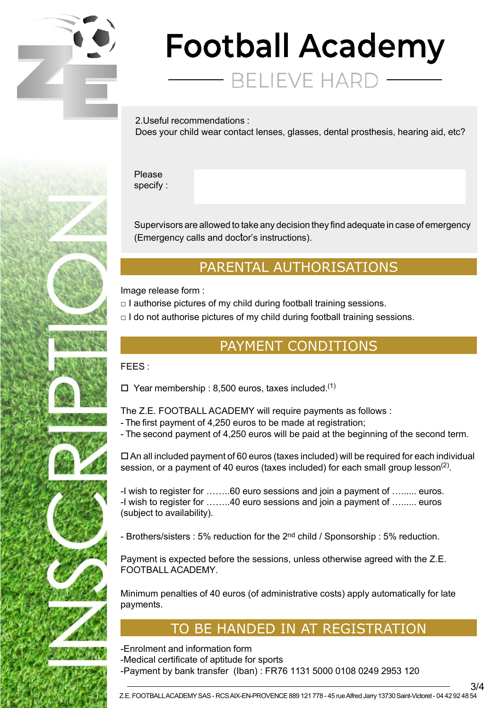

# **Football Academy**

**BELIEVE HAR** 

2.Useful recommendations : Does your child wear contact lenses, glasses, dental prosthesis, hearing aid, etc?

Please specify :

Supervisors are allowed to take any decision they find adequate in case of emergency (Emergency calls and doctor's instructions).

# PARENTAL AUTHORISATIONS

Image release form :

 $\Box$  I authorise pictures of my child during football training sessions.

 $\Box$  I do not authorise pictures of my child during football training sessions.

## PAYMENT CONDITIONS

FEES :

INSCRIPTION

 $\Box$  Year membership : 8,500 euros, taxes included.<sup>(1)</sup>

The Z.E. FOOTBALL ACADEMY will require payments as follows :

- The first payment of 4,250 euros to be made at registration;
- The second payment of 4,250 euros will be paid at the beginning of the second term.

 $\Box$  An all included payment of 60 euros (taxes included) will be required for each individual session, or a payment of 40 euros (taxes included) for each small group lesson<sup>(2)</sup>.

-I wish to register for ……..60 euro sessions and join a payment of …...... euros. -I wish to register for ……..40 euro sessions and join a payment of …...... euros (subject to availability).

- Brothers/sisters : 5% reduction for the 2<sup>nd</sup> child / Sponsorship : 5% reduction.

Payment is expected before the sessions, unless otherwise agreed with the Z.E. FOOTBALL ACADEMY.

Minimum penalties of 40 euros (of administrative costs) apply automatically for late payments.

# TO BE HANDED IN AT REGISTRATION

-Enrolment and information form

- -Medical certificate of aptitude for sports
- -Payment by bank transfer (Iban) : FR76 1131 5000 0108 0249 2953 120

3/4